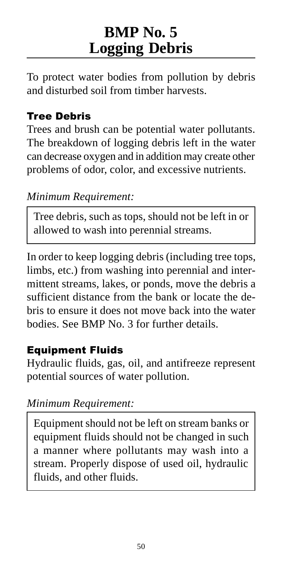# **BMP No. 5 Logging Debris**

To protect water bodies from pollution by debris and disturbed soil from timber harvests.

### Tree Debris

Trees and brush can be potential water pollutants. The breakdown of logging debris left in the water can decrease oxygen and in addition may create other problems of odor, color, and excessive nutrients.

#### *Minimum Requirement:*

Tree debris, such as tops, should not be left in or allowed to wash into perennial streams.

In order to keep logging debris (including tree tops, limbs, etc.) from washing into perennial and intermittent streams, lakes, or ponds, move the debris a sufficient distance from the bank or locate the debris to ensure it does not move back into the water bodies. See BMP No. 3 for further details.

#### Equipment Fluids

Hydraulic fluids, gas, oil, and antifreeze represent potential sources of water pollution.

#### *Minimum Requirement:*

Equipment should not be left on stream banks or equipment fluids should not be changed in such a manner where pollutants may wash into a stream. Properly dispose of used oil, hydraulic fluids, and other fluids.